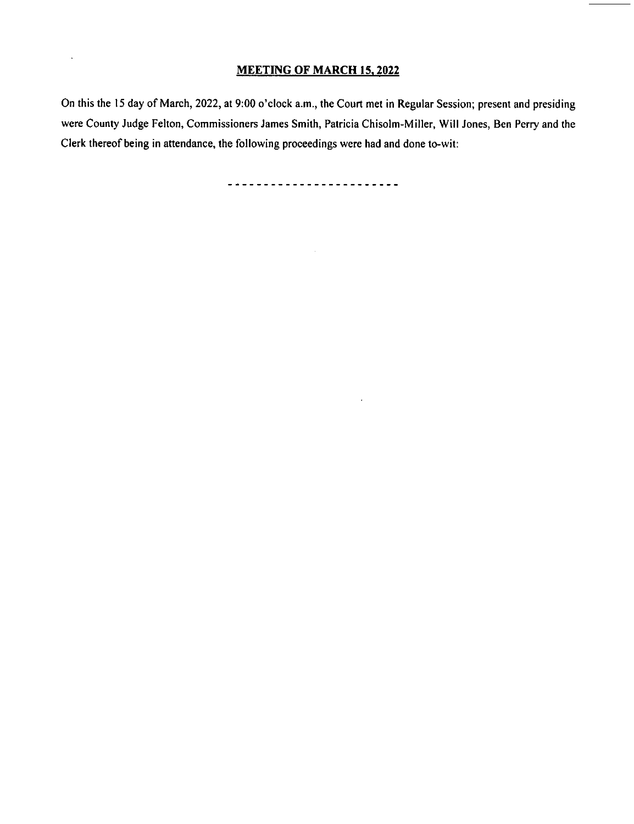# MEETING OF MARCH 15, 2022

 $\ddot{\phantom{a}}$ 

On this the 15 day of March, 2022, at 9:00 o'clock a.m., the Court met in Regular Session; present and presiding were County Judge Felton, Commissioners James Smith, Patricia Chisolm- Miller, Will Jones, Ben Perry and the Clerk thereof being in attendance, the following proceedings were had and done to-wit:

------------------------

 $\alpha$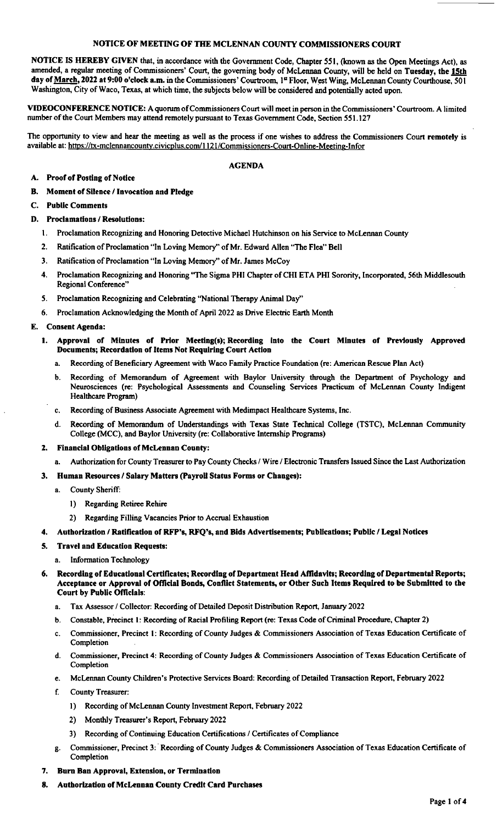#### NOTICE OF MEETING OF THE MCLENNAN COUNTY COMMISSIONERS COURT

NOTICE IS HEREBY GIVEN that, in accordance with the Government Code, Chapter 551,( known as the Open Meetings Act), as amended, a regular meeting of Commissioners' Court, the governing body of McLennan County, will be held on Tuesday, the 15th day of March, 2022 at 9:00 o'clock a.m. in the Commissioners' Courtroom, 1st Floor, West Wing, McLennan County Courthouse, 501 Washington, City of Waco, Texas, at which time, the subjects below will be considered and potentially acted upon.

ViDEOCONFERENCE NOTICE: A quorum ofCommissioners Court will meet in person in the Commissioners' Courtroom. A limited number of the Court Members may attend remotely pursuant to Texas Government Code, Section 551. 127

The opportunity to view and hear the meeting as well as the process if one wishes to address the Commissioners Court remotely is available at: https://tx-mclennancounty.civicplus.com/1121/Commissioners-Court-Online-Meeting-Infor

#### AGENDA

### A. Proof of Posting of Notice

B. Moment of Silence/ Invocation and Pledge

### C. Public Comments

- D. Proclamations/ Resolutions:
	- 1. Proclamation Recognizing and Honoring Detective Michael Hutchinson on his Service to McLennan County
	- 2. Ratification of Proclamation "In Loving Memory" of Mr. Edward Allen "The Flea" Bell
	- 3. Ratification of Proclamation" in Loving Memory" of Mr. James McCoy
	- 4. Proclamation Recognizing and Honoring "The Sigma PHI Chapter of CHI ETA PHI Sorority, Incorporated, 56th Middlesouth Regional Conference"
	- 5. Proclamation Recognizing and Celebrating "National Therapy Animal Day"
	- 6. Proclamation Acknowledging the Month of April 2022 as Drive Electric Earth Month

#### E. Consent Agenda:

- 1. Approval of Minutes of Prior Meeting(s); Recording into the Court Minutes of Previously Approved Documents; Recordation of Items Not Requiring Court Action
	- a. Recording of Beneficiary Agreement with Waco Family Practice Foundation( re: American Rescue Plan Act)
	- b. Recording of Memorandum of Agreement with Baylor University through the Department of Psychology and Neurosciences (re: Psychological Assessments and Counseling Services Practicum of McLennan County Indigent Healthcare Program)
	- c. Recording of Business Associate Agreement with Medimpact Healthcare Systems, Inc.
	- d. Recording of Memorandum of Understandings with Texas State Technical College (TSTC), McLennan Community College( MCC), and Baylor University( re: Collaborative Internship Programs)

#### 2. Financial Obligations of McLennan County:

- Authorization for County Treasurer to Pay County Checks / Wire / Electronic Transfers Issued Since the Last Authorization
- 3. Human Resources/ Salary Matters( Payroll Status Forms or Changes):
	- a. County Sheriff:
		- 1) Regarding Retiree Rehire
		- 2) Regarding Filling Vacancies Prior to Accrual Exhaustion
- Authorization / Ratification of RFP's, RFQ's, and Bids Advertisements; Publications; Public / Legal Notices

## 5. Travel and Education Requests:

- a. Information Technology
- 6. Recording of Educational Certificates; Recording of Department Head Affidavits; Recording of Departmental Reports; Acceptance or Approval of Official Bonds, Conflict Statements, or Other Such items Required to be Submitted to the Court by Public Officials:
	- a. Tax Assessor/ Collector: Recording of Detailed Deposit Distribution Report, January 2022
	- b. Constable, Precinct 1: Recording of Racial Profiling Report (re: Texas Code of Criminal Procedure, Chapter 2)
	- c. Commissioner, Precinct I: Recording of County Judges& Commissioners Association of Texas Education Certificate of Completion
	- d. Commissioner, Precinct 4: Recording of County Judges& Commissioners Association of Texas Education Certificate of Completion
	- e. McLennan County Children' s Protective Services Board: Recording of Detailed Transaction Report, February 2022
	- f. County Treasurer:
		- 1) Recording of McLennan County Investment Report, February 2022
		- 2) Monthly Treasurer's Report, February 2022
		- 3) Recording of Continuing Education Certifications/ Certificates of Compliance
	- g. Commissioner, Precinct 3:' Recording of County Judges& Commissioners Association of Texas Education Certificate of Completion
- 7. Burn Ban Approval, Extension, or Termination
- 8. Authorization of McLennan County Credit Card Purchases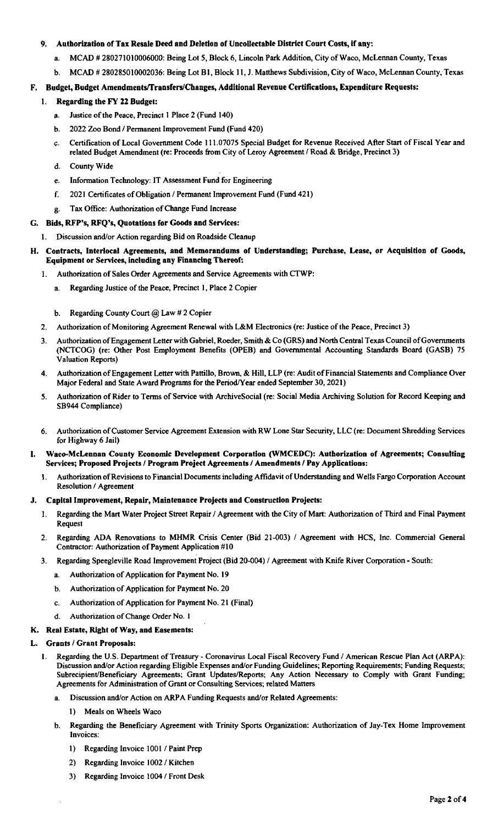# 9. Authorization of Tax Resale Deed and Deletion of Uncollectable District Court Costs, if any:

- a. MCAD # 280271010006000: Being Lot 5, Block 6, Lincoln Park Addition, City of Waco, McLennan County, Texas
- b. MCAD # 280285010002036: Being Lot B1, Block 11, J. Matthews Subdivision, City of Waco, McLennan County, Texas

# F. Budget, Budget Amendments/Transfers/Changes, Additional Revenue Certifications, Expenditure Requests:

# 1. Regarding the FY 22 Budget:

- a. Justice of the Peace, Precinct I Place 2( Fund 140)
- b. 2022 Zoo Bond / Permanent Improvement Fund (Fund 420)
- c. Certification of Local Government Code 111. 07075 Special Budget for Revenue Received After Start of Fiscal Year and related Budget Amendment (re: Proceeds from City of Leroy Agreement / Road & Bridge, Precinct 3)
- d. County Wide
- e. Information Technology: IT Assessment Fund for Engineering
- f. 2021 Certificates of Obligation/ Permanent Improvement Fund( Fund 421)
- g. Tax Office: Authorization of Change Fund Increase
- G. Bids, RFP's, RFQ's, Quotations for Goods and Services:

# Discussion and/or Action regarding Bid on Roadside Cleanup

# H. Contracts, Interlocal Agreements, and Memorandums of Understanding; Purchase, Lease, or Acquisition of Goods, Equipment or Services, including any Financing Thereof:

- 1. Authorization of Sales Order Agreements and Service Agreements with CTWP:
	- a. Regarding Justice of the Peace, Precinct 1, Place 2 Copier
	- b. Regarding County Court @ Law# 2 Copier
- 2. Authorization of Monitoring Agreement Renewal with L&M Electronics (re: Justice of the Peace, Precinct 3)
- 3. Authorization of Engagement Letter with Gabriel, Roeder, Smith& Co( GRS) and North Central Texas Council of Governments (NCTCOG) (re: Other Post Employment Benefits (OPEB) and Governmental Accounting Standards Board (GASB) 75 Valuation Reports)
- 4. Authorization of Engagement Letter with Pattillo, Brown,& Hill, LLP( re: Audit of Financial Statements and Compliance Over Major Federal and State Award Programs for the Period/Year ended September 30, 2021)
- 5. Authorization of Rider to Terms of Service with ArchiveSocial (re: Social Media Archiving Solution for Record Keeping and SB944 Compliance)
- 6. Authorization ofCustomer Service Agreement Extension with RW Lone Star Security, LLC( re: Document Shredding Services for Highway 6 Jail)
- I. Waco-McLennan County Economic Development Corporation (WMCEDC): Authorization of Agreements; Consulting Services; Proposed Projects/ Program Project Agreements/ Amendments/ Pay Applications:
	- I. Authorization of Revisions to Financial Documents including Affidavit of Understanding and Wells Fargo Corporation Account Resolution/ Agreement

## J. Capital Improvement, Repair, Maintenance Projects and Construction Projects:

- I. Regarding the Mart Water Project Street Repair/ Agreement with the City of Mart: Authorization of Third and Final Payment Request
- 2. Regarding ADA Renovations to MHMR Crisis Center (Bid 21-003) / Agreement with HCS, Inc. Commercial General Contractor: Authorization of Payment Application #10
- 3. Regarding Speegleville Road Improvement Project( Bid 20-004)/ Agreement with Knife River Corporation- South:
	- a. Authorization of Application for Payment No. 19
	- b. Authorization of Application for Payment No. 20
	- c. Authorization of Application for Payment No. 21 (Final)
- d. Authorization of Change Order No. 1

## K. Real Estate, Right of Way, and Easements:

## Grants / Grant Proposals:

- Regarding the U.S. Department of Treasury Coronavirus Local Fiscal Recovery Fund / American Rescue Plan Act (ARPA): Discussion and/or Action regarding Eligible Expenses and/or Funding Guidelines; Reporting Requirements; Funding Requests; Subrecipient/Beneficiary Agreements; Grant Updates/Reports; Any Action Necessary to Comply with Grant Funding; Agreements for Administration of Grant or Consulting Services; related Matters
	- Discussion and/or Action on ARPA Funding Requests and/or Related Agreements:
		- 1) Meals on Wheels Waco
	- b. Regarding the Beneficiary Agreement with Trinity Sports Organization: Authorization of Jay-Tex Home Improvement Invoices:
		- 1) Regarding Invoice 1001 / Paint Prep
		- 2) Regarding Invoice 1002/ Kitchen
		- 3) Regarding Invoice 1004/ Front Desk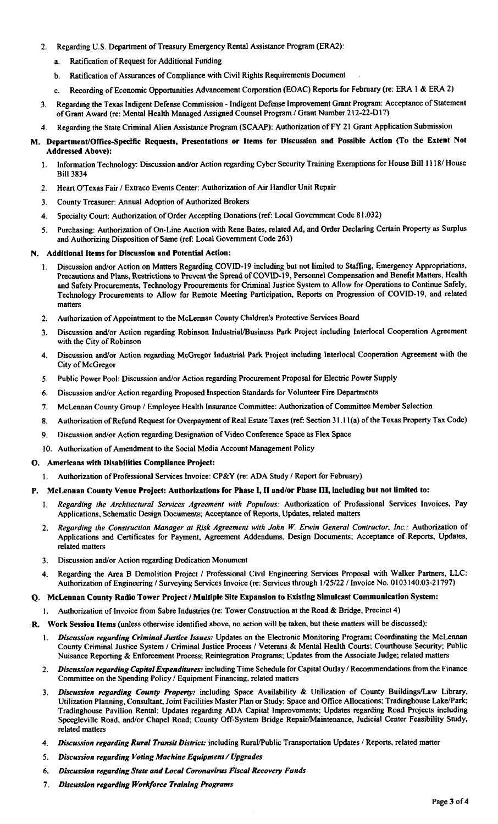- 2. Regarding U.S. Department of Treasury Emergency Rental Assistance Program (ERA2):
	- a. Ratification of Request for Additional Funding
	- b. Ratification of Assurances of Compliance with Civil Rights Requirements Document
	- c. Recording of Economic Opportunities Advancement Corporation( EOAC) Reports for February( re: ERA i & ERA 2)
- 3. Regarding the Texas Indigent Defense Commission- indigent Defense Improvement Grant Program: Acceptance of Statement of Grant Award (re: Mental Health Managed Assigned Counsel Program / Grant Number 212-22-D17)
- 4. Regarding the State Criminal Alien Assistance Program( SCAAP): Authorization of FY 21 Grant Application Submission
- M. Department/Office-Specific Requests, Presentations or Items for Discussion and Possible Action (To the Extent Not Addressed Above):
	- 1. Information Technology: Discussion and/or Action regarding Cyber Security Training Exemptions for House Bill 1118/ House Bill 3834
	- 2. Heart OTexas Fair/ Extraco Events Center: Authorization of Air Handler Unit Repair
	- 3. County Treasurer: Annual Adoption of Authorized Brokers
	- 4. Specialty Court: Authorization of Order Accepting Donations (ref: Local Government Code 81.032)
	- 5. Purchasing: Authorization of On- Line Auction with Rene Bates, related Ad, and Order Declaring Certain Property as Surplus and Authorizing Disposition of Same (ref: Local Government Code 263)

#### N. Additional Items for Discussion and Potential Action:

- 1. Discussion and/or Action on Matters Regarding COVID-19 including but not limited to Staffing, Emergency Appropriations, Precautions and Plans, Restrictions to Prevent the Spread of COVID-19, Personnel Compensation and Benefit Matters, Health and Safety Procurements, Technology Procurements for Criminal Justice System to Allow for Operations to Continue Safely, Technology Procurements to Allow for Remote Meeting Participation, Reports on Progression of COVID- 19, and related matters
- 2. Authorization of Appointment to the McLennan County Children's Protective Services Board
- 3. Discussion and/or Action regarding Robinson Industrial/Business Park Project including Interlocal Cooperation Agreement with the City of Robinson
- 4. Discussion and/or Action regarding McGregor Industrial Park Project including Interlocal Cooperation Agreement with the City of McGregor
- 5. Public Power Pool: Discussion and/or Action regarding Procurement Proposal for Electric Power Supply
- 6. Discussion and/or Action regarding Proposed Inspection Standards for Volunteer Fire Departments
- 7. McLennan County Group/ Employee Health Insurance Committee: Authorization of Committee Member Selection
- 8. Authorization of Refund Request for Overpayment of Real Estate Taxes( ref: Section 31. 1 I( a) of the Texas Property Tax Code)
- 9. Discussion and/or Action regarding Designation of Video Conference Space as Flex Space
- 10. Authorization of Amendment to the Social Media Account Management Policy

#### O. Americans with Disabilities Compliance Project:

1. Authorization of Professional Services Invoice: CP&Y (re: ADA Study / Report for February)

# P. McLennan County Venue Project: Authorizations for Phase I, II and/or Phase III, including but not limited to:

- 1. Regarding the Architectural Services Agreement with Populous: Authorization of Professional Services Invoices, Pay Applications, Schematic Design Documents; Acceptance of Reports, Updates, related matters
- 2. Regarding the Construction Manager at Risk Agreement with John W. Erwin General Contractor, Inc.: Authorization of Applications and Certificates for Payment, Agreement Addendums, Design Documents; Acceptance of Reports, Updates, related matters
- 3. Discussion and/or Action regarding Dedication Monument
- 4. Regarding the Area B Demolition Project / Professional Civil Engineering Services Proposal with Walker Partners, LLC: Authorization of Engineering / Surveying Services Invoice (re: Services through 1/25/22 / Invoice No. 0103140.03-21797)

# Q. McLennan County Radio Tower Project/ Multiple Site Expansion to Existing Simulcast Communication System:

- I. Authorization of Invoice from Sabre industries( re: Tower Construction at the Road& Bridge, Precinct 4)
- R. Work Session Items( unless otherwise identified above, no action will be taken, but these matters will be discussed):
	- 1. Discussion regarding Criminal Justice Issues: Updates on the Electronic Monitoring Program; Coordinating the McLennan County Criminal Justice System/ Criminal Justice Process/ Veterans & Mental Health Courts; Courthouse Security; Public Nuisance Reporting& Enforcement Process; Reintegration Programs; Updates from the Associate Judge; related matters
	- 2. Discussion regarding Capital Expenditures: including Time Schedule for Capital Outlay / Recommendations from the Finance Committee on the Spending Policy/ Equipment Financing, related matters
	- 3. Discussion regarding County Property: including Space Availability & Utilization of County Buildings/Law Library, Utilization Planning, Consultant, Joint Facilities Master Plan or Study; Space and Office Allocations; Tradinghouse Lake/Park; Tradinghouse Pavilion Rental; Updates regarding ADA Capital Improvements; Updates regarding Road Projects including Speegleville Road, and/or Chapel Road; County Off-System Bridge Repair/Maintenance, Judicial Center Feasibility Study, related matters
	- 4. Discussion regarding Rural Transit District: including Rural/Public Transportation Updates / Reports, related matter
	- 5. Discussion regarding Voting Machine Equipment/ Upgrades
	- 6. Discussion regarding State and Local Coronavirus Fiscal Recovery Funds
	- 7. Discussion regarding Workforce Training Programs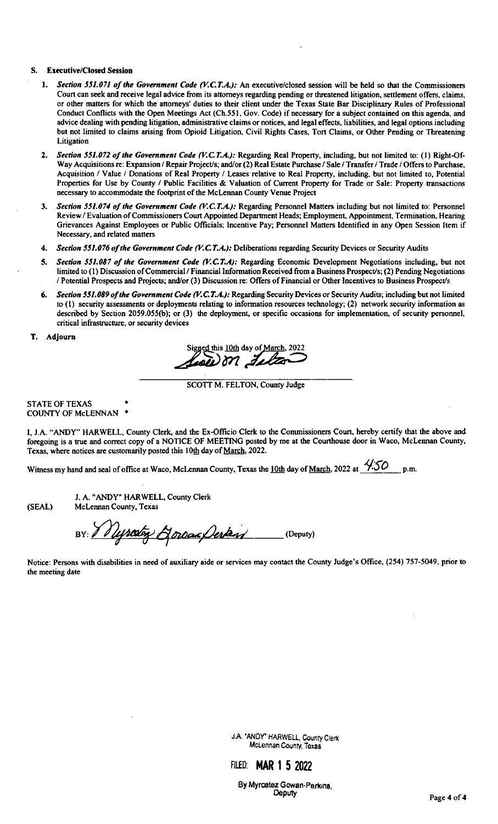#### S. Executive/Closed Session

- 1. Section 551.071 of the Government Code (V.C.T.A.): An executive/closed session will be held so that the Commissioners Court can seek and receive legal advice from its attorneys regarding pending or threatened litigation, settlement offers, claims, or other matters for which the attorneys' duties to their client under the Texas State Bar Disciplinary Rules of Professional Conduct Conflicts with the Open Meetings Act( Ch. 551, Gov. Code) if necessary for a subject contained on this agenda, and advice dealing with pending litigation, administrative claims or notices, and legal effects, liabilities, and legal options including but not limited to claims arising from Opioid Litigation, Civil Rights Cases, Tort Claims, or Other Pending or Threatening **Litigation**
- 2. Section 551.072 of the Government Code (V.C.T.A.): Regarding Real Property, including, but not limited to: (1) Right-Of-Way Acquisitions re: Expansion / Repair Project/s; and/or(2) Real Estate Purchase / Sale / Transfer / Trade / Offers to Purchase, Acquisition / Value / Donations of Real Property / Leases relative to Real Property, including, but not limited to, Potential Properties for Use by County / Public Facilities & Valuation of Current Property for Trade or Sale: Property transactions necessary to accommodate the footprint of the McLennan County Venue Project
- 3. Section 551.074 of the Government Code (V.C.T.A.): Regarding Personnel Matters including but not limited to: Personnel Review/ Evaluation of Commissioners Court Appointed Department Heads; Employment, Appointment, Termination, Hearing Grievances Against Employees or Public Officials; Incentive Pay; Personnel Matters Identified in any Open Session Item if Necessary, and related matters
- 4. Section 551.076 of the Government Code (V.C.T.A.): Deliberations regarding Security Devices or Security Audits
- 5. Section 551.087 of the Government Code (V.C.T.A): Regarding Economic Development Negotiations including, but not limited to (1) Discussion of Commercial / Financial Information Received from a Business Prospect/s; (2) Pending Negotiations / Potential Prospects and Projects; and/or (3) Discussion re: Offers of Financial or Other Incentives to Business Prospect/s
- 6. Section 551.089 of the Government Code (V.C.T.A.): Regarding Security Devices or Security Audits; including but not limited to (1) security assessments or deployments relating to information resources technology; (2) network security information as described by Section 2059.055(b); or (3) the deployment, or specific occasions for implementation, of security personnel, critical infrastructure, or security devices

T. Adjourn

Sig**yed this 10th day of <u>March</u>, 2022**  $\bm{\mathit{Leo}}\bm{\mathit{U}}$  on

SCOTT M. FELTON, County Judge

STATE OF TEXAS COUNTY OF McLENNAN •

I, J.A. "ANDY" HARWELL, County Clerk, and the Ex-Officio Clerk to the Commissioners Court, hereby certify that the above and foregoing is a true and correct copy of a NOTICE OF MEETING posted by me at the Courthouse door in Waco, McLennan County, Texas, where notices are customarily posted this 10th day of March, 2022.

Witness my hand and seal of office at Waco, McLennan County, Texas the <u>10th</u> day of <u>March,</u> 2022 at  $\frac{\sqrt{50}}{100}$  p.m.

J. A. " ANDY" HARWELL, County Clerk SEAL) McLennan County, Texas

BY: V Ussain Horsac Destand (Deputy)

Notice: Persons with disabilities in need of auxiliary aide or services may contact the County Judge's Office, (254) 757-5049, prior to the meeting date

> JA.' ANDY" HARWELL, County Clerk McLennan County, Texas



By Myrcetez Gowan-Perkma,